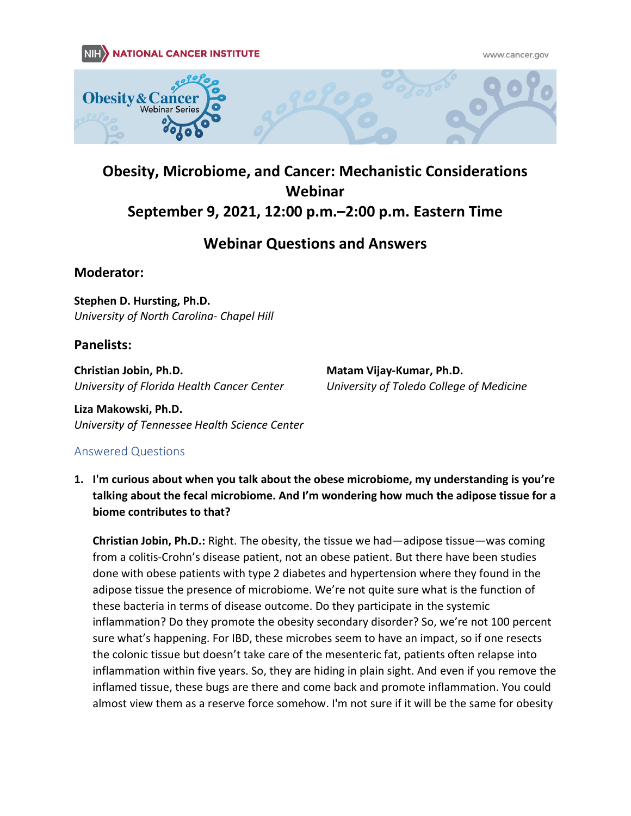#### **NATIONAL CANCER INSTITUTE NIH**

www.cancer.gov





# **Obesity, Microbiome, and Cancer: Mechanistic Considerations Webinar September 9, 2021, 12:00 p.m.–2:00 p.m. Eastern Time**

# **Webinar Questions and Answers**

**Moderator:**

**Stephen D. Hursting, Ph.D.** *University of North Carolina- Chapel Hill*

### **Panelists:**

**Christian Jobin, Ph.D.** *University of Florida Health Cancer Center* **Matam Vijay-Kumar, Ph.D.** *University of Toledo College of Medicine*

**Liza Makowski, Ph.D.** *University of Tennessee Health Science Center*

### Answered Questions

**1. I'm curious about when you talk about the obese microbiome, my understanding is you're talking about the fecal microbiome. And I'm wondering how much the adipose tissue for a biome contributes to that?**

**Christian Jobin, Ph.D.:** Right. The obesity, the tissue we had—adipose tissue—was coming from a colitis-Crohn's disease patient, not an obese patient. But there have been studies done with obese patients with type 2 diabetes and hypertension where they found in the adipose tissue the presence of microbiome. We're not quite sure what is the function of these bacteria in terms of disease outcome. Do they participate in the systemic inflammation? Do they promote the obesity secondary disorder? So, we're not 100 percent sure what's happening. For IBD, these microbes seem to have an impact, so if one resects the colonic tissue but doesn't take care of the mesenteric fat, patients often relapse into inflammation within five years. So, they are hiding in plain sight. And even if you remove the inflamed tissue, these bugs are there and come back and promote inflammation. You could almost view them as a reserve force somehow. I'm not sure if it will be the same for obesity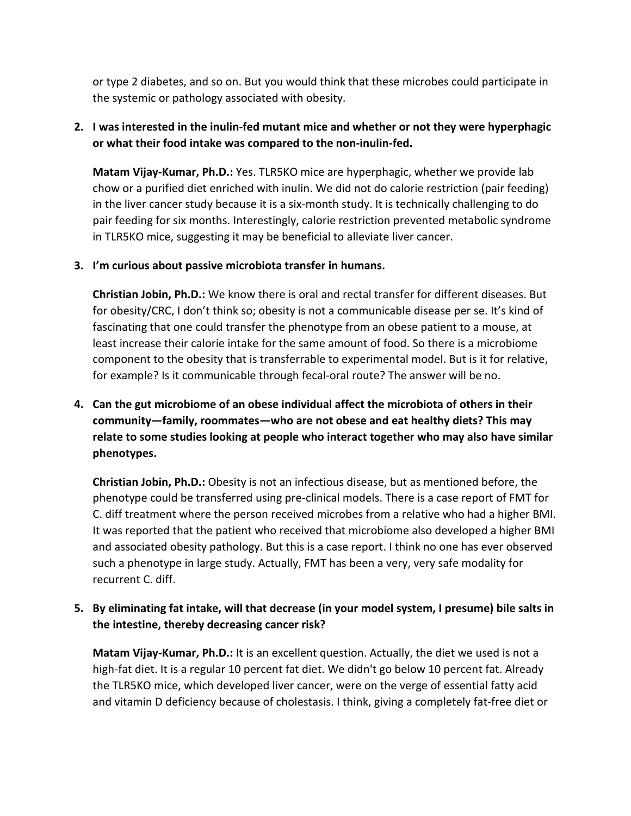or type 2 diabetes, and so on. But you would think that these microbes could participate in the systemic or pathology associated with obesity.

#### **2. I was interested in the inulin-fed mutant mice and whether or not they were hyperphagic or what their food intake was compared to the non-inulin-fed.**

**Matam Vijay-Kumar, Ph.D.:** Yes. TLR5KO mice are hyperphagic, whether we provide lab chow or a purified diet enriched with inulin. We did not do calorie restriction (pair feeding) in the liver cancer study because it is a six-month study. It is technically challenging to do pair feeding for six months. Interestingly, calorie restriction prevented metabolic syndrome in TLR5KO mice, suggesting it may be beneficial to alleviate liver cancer.

#### **3. I'm curious about passive microbiota transfer in humans.**

**Christian Jobin, Ph.D.:** We know there is oral and rectal transfer for different diseases. But for obesity/CRC, I don't think so; obesity is not a communicable disease per se. It's kind of fascinating that one could transfer the phenotype from an obese patient to a mouse, at least increase their calorie intake for the same amount of food. So there is a microbiome component to the obesity that is transferrable to experimental model. But is it for relative, for example? Is it communicable through fecal-oral route? The answer will be no.

**4. Can the gut microbiome of an obese individual affect the microbiota of others in their community—family, roommates—who are not obese and eat healthy diets? This may relate to some studies looking at people who interact together who may also have similar phenotypes.**

**Christian Jobin, Ph.D.:** Obesity is not an infectious disease, but as mentioned before, the phenotype could be transferred using pre-clinical models. There is a case report of FMT for C. diff treatment where the person received microbes from a relative who had a higher BMI. It was reported that the patient who received that microbiome also developed a higher BMI and associated obesity pathology. But this is a case report. I think no one has ever observed such a phenotype in large study. Actually, FMT has been a very, very safe modality for recurrent C. diff.

### **5. By eliminating fat intake, will that decrease (in your model system, I presume) bile salts in the intestine, thereby decreasing cancer risk?**

**Matam Vijay-Kumar, Ph.D.:** It is an excellent question. Actually, the diet we used is not a high-fat diet. It is a regular 10 percent fat diet. We didn't go below 10 percent fat. Already the TLR5KO mice, which developed liver cancer, were on the verge of essential fatty acid and vitamin D deficiency because of cholestasis. I think, giving a completely fat-free diet or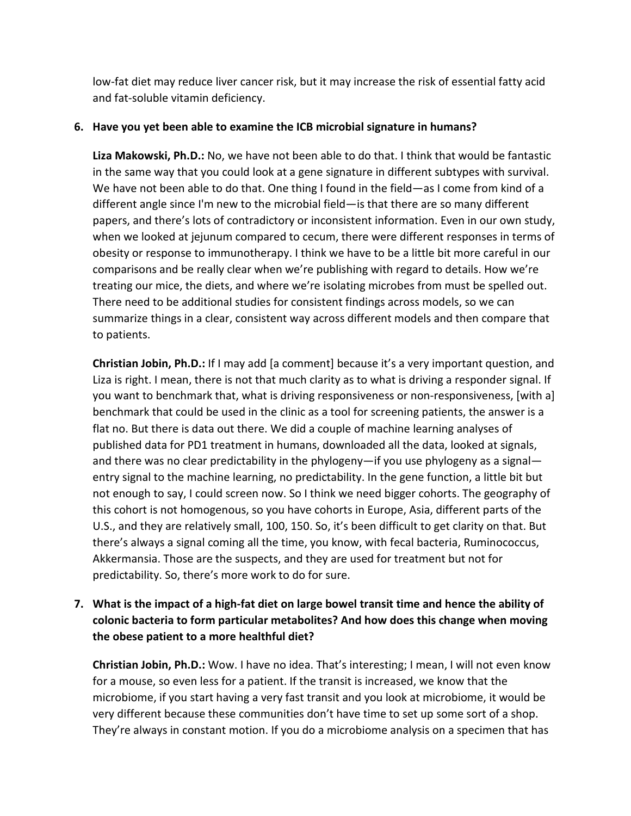low-fat diet may reduce liver cancer risk, but it may increase the risk of essential fatty acid and fat-soluble vitamin deficiency.

#### **6. Have you yet been able to examine the ICB microbial signature in humans?**

**Liza Makowski, Ph.D.:** No, we have not been able to do that. I think that would be fantastic in the same way that you could look at a gene signature in different subtypes with survival. We have not been able to do that. One thing I found in the field—as I come from kind of a different angle since I'm new to the microbial field—is that there are so many different papers, and there's lots of contradictory or inconsistent information. Even in our own study, when we looked at jejunum compared to cecum, there were different responses in terms of obesity or response to immunotherapy. I think we have to be a little bit more careful in our comparisons and be really clear when we're publishing with regard to details. How we're treating our mice, the diets, and where we're isolating microbes from must be spelled out. There need to be additional studies for consistent findings across models, so we can summarize things in a clear, consistent way across different models and then compare that to patients.

**Christian Jobin, Ph.D.:** If I may add [a comment] because it's a very important question, and Liza is right. I mean, there is not that much clarity as to what is driving a responder signal. If you want to benchmark that, what is driving responsiveness or non-responsiveness, [with a] benchmark that could be used in the clinic as a tool for screening patients, the answer is a flat no. But there is data out there. We did a couple of machine learning analyses of published data for PD1 treatment in humans, downloaded all the data, looked at signals, and there was no clear predictability in the phylogeny—if you use phylogeny as a signal entry signal to the machine learning, no predictability. In the gene function, a little bit but not enough to say, I could screen now. So I think we need bigger cohorts. The geography of this cohort is not homogenous, so you have cohorts in Europe, Asia, different parts of the U.S., and they are relatively small, 100, 150. So, it's been difficult to get clarity on that. But there's always a signal coming all the time, you know, with fecal bacteria, Ruminococcus, Akkermansia. Those are the suspects, and they are used for treatment but not for predictability. So, there's more work to do for sure.

# **7. What is the impact of a high-fat diet on large bowel transit time and hence the ability of colonic bacteria to form particular metabolites? And how does this change when moving the obese patient to a more healthful diet?**

**Christian Jobin, Ph.D.:** Wow. I have no idea. That's interesting; I mean, I will not even know for a mouse, so even less for a patient. If the transit is increased, we know that the microbiome, if you start having a very fast transit and you look at microbiome, it would be very different because these communities don't have time to set up some sort of a shop. They're always in constant motion. If you do a microbiome analysis on a specimen that has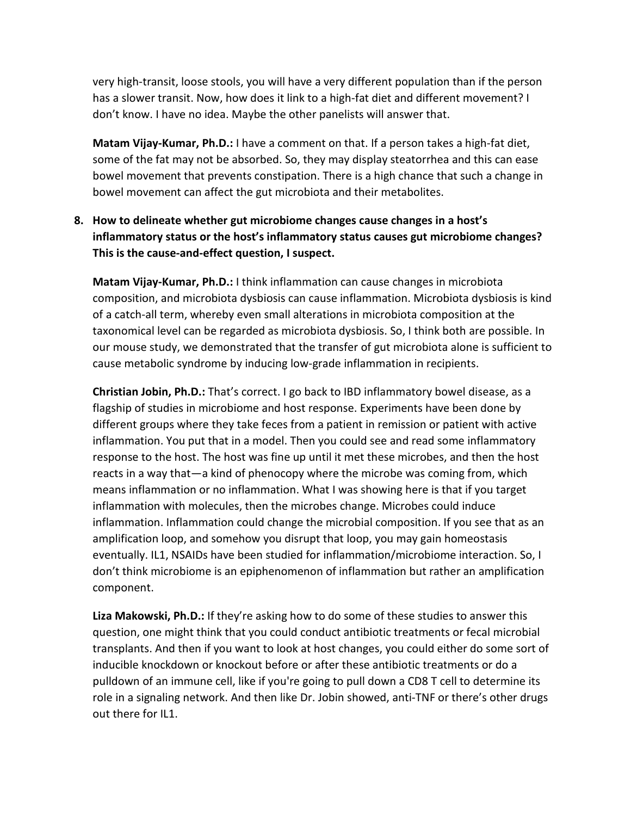very high-transit, loose stools, you will have a very different population than if the person has a slower transit. Now, how does it link to a high-fat diet and different movement? I don't know. I have no idea. Maybe the other panelists will answer that.

**Matam Vijay-Kumar, Ph.D.:** I have a comment on that. If a person takes a high-fat diet, some of the fat may not be absorbed. So, they may display steatorrhea and this can ease bowel movement that prevents constipation. There is a high chance that such a change in bowel movement can affect the gut microbiota and their metabolites.

# **8. How to delineate whether gut microbiome changes cause changes in a host's inflammatory status or the host's inflammatory status causes gut microbiome changes? This is the cause-and-effect question, I suspect.**

**Matam Vijay-Kumar, Ph.D.:** I think inflammation can cause changes in microbiota composition, and microbiota dysbiosis can cause inflammation. Microbiota dysbiosis is kind of a catch-all term, whereby even small alterations in microbiota composition at the taxonomical level can be regarded as microbiota dysbiosis. So, I think both are possible. In our mouse study, we demonstrated that the transfer of gut microbiota alone is sufficient to cause metabolic syndrome by inducing low-grade inflammation in recipients.

**Christian Jobin, Ph.D.:** That's correct. I go back to IBD inflammatory bowel disease, as a flagship of studies in microbiome and host response. Experiments have been done by different groups where they take feces from a patient in remission or patient with active inflammation. You put that in a model. Then you could see and read some inflammatory response to the host. The host was fine up until it met these microbes, and then the host reacts in a way that—a kind of phenocopy where the microbe was coming from, which means inflammation or no inflammation. What I was showing here is that if you target inflammation with molecules, then the microbes change. Microbes could induce inflammation. Inflammation could change the microbial composition. If you see that as an amplification loop, and somehow you disrupt that loop, you may gain homeostasis eventually. IL1, NSAIDs have been studied for inflammation/microbiome interaction. So, I don't think microbiome is an epiphenomenon of inflammation but rather an amplification component.

**Liza Makowski, Ph.D.:** If they're asking how to do some of these studies to answer this question, one might think that you could conduct antibiotic treatments or fecal microbial transplants. And then if you want to look at host changes, you could either do some sort of inducible knockdown or knockout before or after these antibiotic treatments or do a pulldown of an immune cell, like if you're going to pull down a CD8 T cell to determine its role in a signaling network. And then like Dr. Jobin showed, anti-TNF or there's other drugs out there for IL1.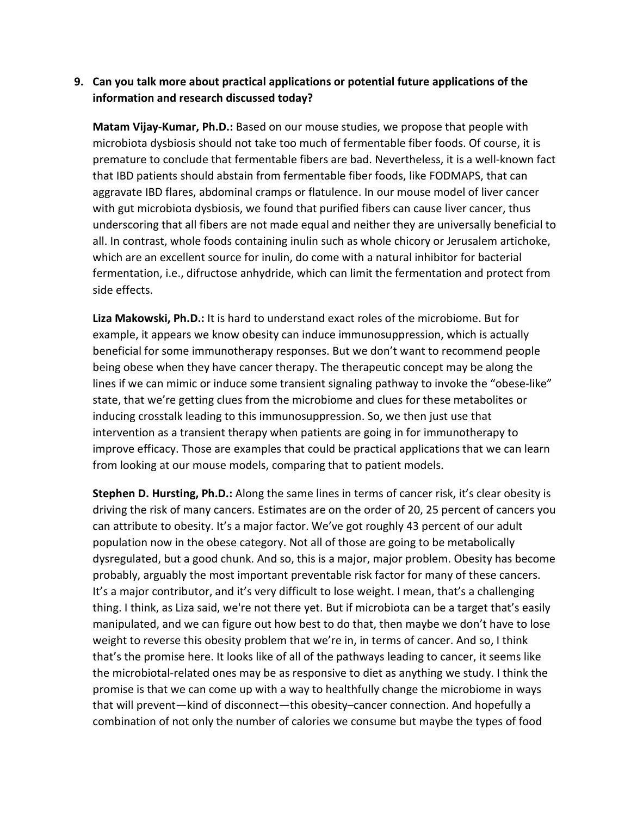#### **9. Can you talk more about practical applications or potential future applications of the information and research discussed today?**

**Matam Vijay-Kumar, Ph.D.:** Based on our mouse studies, we propose that people with microbiota dysbiosis should not take too much of fermentable fiber foods. Of course, it is premature to conclude that fermentable fibers are bad. Nevertheless, it is a well-known fact that IBD patients should abstain from fermentable fiber foods, like FODMAPS, that can aggravate IBD flares, abdominal cramps or flatulence. In our mouse model of liver cancer with gut microbiota dysbiosis, we found that purified fibers can cause liver cancer, thus underscoring that all fibers are not made equal and neither they are universally beneficial to all. In contrast, whole foods containing inulin such as whole chicory or Jerusalem artichoke, which are an excellent source for inulin, do come with a natural inhibitor for bacterial fermentation, i.e., difructose anhydride, which can limit the fermentation and protect from side effects.

**Liza Makowski, Ph.D.:** It is hard to understand exact roles of the microbiome. But for example, it appears we know obesity can induce immunosuppression, which is actually beneficial for some immunotherapy responses. But we don't want to recommend people being obese when they have cancer therapy. The therapeutic concept may be along the lines if we can mimic or induce some transient signaling pathway to invoke the "obese-like" state, that we're getting clues from the microbiome and clues for these metabolites or inducing crosstalk leading to this immunosuppression. So, we then just use that intervention as a transient therapy when patients are going in for immunotherapy to improve efficacy. Those are examples that could be practical applications that we can learn from looking at our mouse models, comparing that to patient models.

**Stephen D. Hursting, Ph.D.:** Along the same lines in terms of cancer risk, it's clear obesity is driving the risk of many cancers. Estimates are on the order of 20, 25 percent of cancers you can attribute to obesity. It's a major factor. We've got roughly 43 percent of our adult population now in the obese category. Not all of those are going to be metabolically dysregulated, but a good chunk. And so, this is a major, major problem. Obesity has become probably, arguably the most important preventable risk factor for many of these cancers. It's a major contributor, and it's very difficult to lose weight. I mean, that's a challenging thing. I think, as Liza said, we're not there yet. But if microbiota can be a target that's easily manipulated, and we can figure out how best to do that, then maybe we don't have to lose weight to reverse this obesity problem that we're in, in terms of cancer. And so, I think that's the promise here. It looks like of all of the pathways leading to cancer, it seems like the microbiotal-related ones may be as responsive to diet as anything we study. I think the promise is that we can come up with a way to healthfully change the microbiome in ways that will prevent—kind of disconnect—this obesity–cancer connection. And hopefully a combination of not only the number of calories we consume but maybe the types of food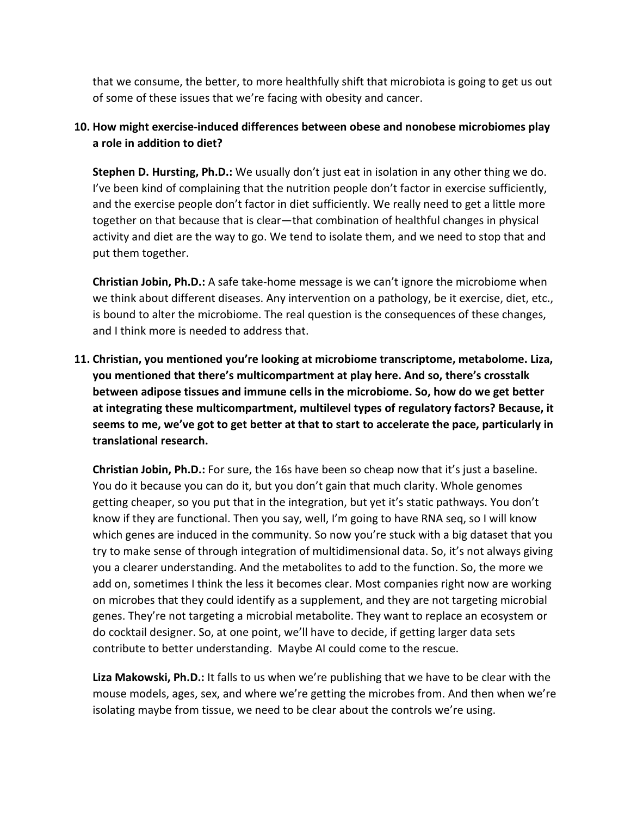that we consume, the better, to more healthfully shift that microbiota is going to get us out of some of these issues that we're facing with obesity and cancer.

#### **10. How might exercise-induced differences between obese and nonobese microbiomes play a role in addition to diet?**

**Stephen D. Hursting, Ph.D.:** We usually don't just eat in isolation in any other thing we do. I've been kind of complaining that the nutrition people don't factor in exercise sufficiently, and the exercise people don't factor in diet sufficiently. We really need to get a little more together on that because that is clear—that combination of healthful changes in physical activity and diet are the way to go. We tend to isolate them, and we need to stop that and put them together.

**Christian Jobin, Ph.D.:** A safe take-home message is we can't ignore the microbiome when we think about different diseases. Any intervention on a pathology, be it exercise, diet, etc., is bound to alter the microbiome. The real question is the consequences of these changes, and I think more is needed to address that.

**11. Christian, you mentioned you're looking at microbiome transcriptome, metabolome. Liza, you mentioned that there's multicompartment at play here. And so, there's crosstalk between adipose tissues and immune cells in the microbiome. So, how do we get better at integrating these multicompartment, multilevel types of regulatory factors? Because, it seems to me, we've got to get better at that to start to accelerate the pace, particularly in translational research.**

**Christian Jobin, Ph.D.:** For sure, the 16s have been so cheap now that it's just a baseline. You do it because you can do it, but you don't gain that much clarity. Whole genomes getting cheaper, so you put that in the integration, but yet it's static pathways. You don't know if they are functional. Then you say, well, I'm going to have RNA seq, so I will know which genes are induced in the community. So now you're stuck with a big dataset that you try to make sense of through integration of multidimensional data. So, it's not always giving you a clearer understanding. And the metabolites to add to the function. So, the more we add on, sometimes I think the less it becomes clear. Most companies right now are working on microbes that they could identify as a supplement, and they are not targeting microbial genes. They're not targeting a microbial metabolite. They want to replace an ecosystem or do cocktail designer. So, at one point, we'll have to decide, if getting larger data sets contribute to better understanding. Maybe AI could come to the rescue.

**Liza Makowski, Ph.D.:** It falls to us when we're publishing that we have to be clear with the mouse models, ages, sex, and where we're getting the microbes from. And then when we're isolating maybe from tissue, we need to be clear about the controls we're using.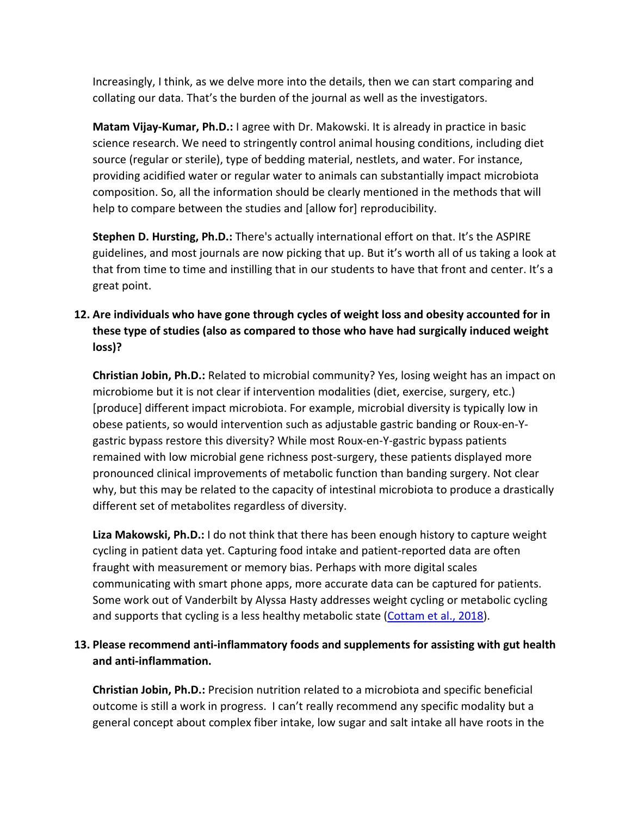Increasingly, I think, as we delve more into the details, then we can start comparing and collating our data. That's the burden of the journal as well as the investigators.

**Matam Vijay-Kumar, Ph.D.:** I agree with Dr. Makowski. It is already in practice in basic science research. We need to stringently control animal housing conditions, including diet source (regular or sterile), type of bedding material, nestlets, and water. For instance, providing acidified water or regular water to animals can substantially impact microbiota composition. So, all the information should be clearly mentioned in the methods that will help to compare between the studies and [allow for] reproducibility.

**Stephen D. Hursting, Ph.D.:** There's actually international effort on that. It's the ASPIRE guidelines, and most journals are now picking that up. But it's worth all of us taking a look at that from time to time and instilling that in our students to have that front and center. It's a great point.

## **12. Are individuals who have gone through cycles of weight loss and obesity accounted for in these type of studies (also as compared to those who have had surgically induced weight loss)?**

**Christian Jobin, Ph.D.:** Related to microbial community? Yes, losing weight has an impact on microbiome but it is not clear if intervention modalities (diet, exercise, surgery, etc.) [produce] different impact microbiota. For example, microbial diversity is typically low in obese patients, so would intervention such as adjustable gastric banding or Roux-en-Ygastric bypass restore this diversity? While most Roux-en-Y-gastric bypass patients remained with low microbial gene richness post-surgery, these patients displayed more pronounced clinical improvements of metabolic function than banding surgery. Not clear why, but this may be related to the capacity of intestinal microbiota to produce a drastically different set of metabolites regardless of diversity.

**Liza Makowski, Ph.D.:** I do not think that there has been enough history to capture weight cycling in patient data yet. Capturing food intake and patient-reported data are often fraught with measurement or memory bias. Perhaps with more digital scales communicating with smart phone apps, more accurate data can be captured for patients. Some work out of Vanderbilt by Alyssa Hasty addresses weight cycling or metabolic cycling and supports that cycling is a less healthy metabolic state [\(Cottam et al., 2018\).](https://pubmed.ncbi.nlm.nih.gov/29784764/)

### **13. Please recommend anti-inflammatory foods and supplements for assisting with gut health and anti-inflammation.**

**Christian Jobin, Ph.D.:** Precision nutrition related to a microbiota and specific beneficial outcome is still a work in progress. I can't really recommend any specific modality but a general concept about complex fiber intake, low sugar and salt intake all have roots in the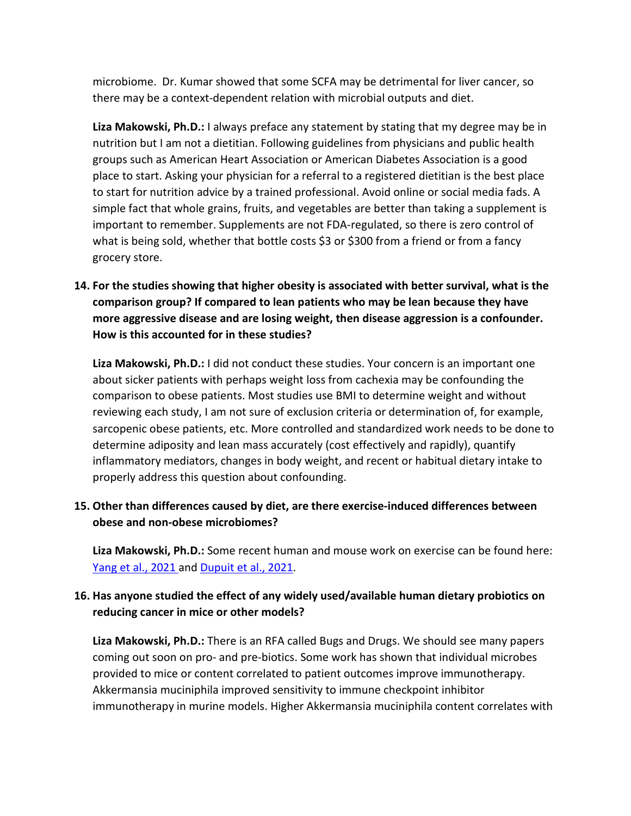microbiome. Dr. Kumar showed that some SCFA may be detrimental for liver cancer, so there may be a context-dependent relation with microbial outputs and diet.

**Liza Makowski, Ph.D.:** I always preface any statement by stating that my degree may be in nutrition but I am not a dietitian. Following guidelines from physicians and public health groups such as American Heart Association or American Diabetes Association is a good place to start. Asking your physician for a referral to a registered dietitian is the best place to start for nutrition advice by a trained professional. Avoid online or social media fads. A simple fact that whole grains, fruits, and vegetables are better than taking a supplement is important to remember. Supplements are not FDA-regulated, so there is zero control of what is being sold, whether that bottle costs \$3 or \$300 from a friend or from a fancy grocery store.

**14. For the studies showing that higher obesity is associated with better survival, what is the comparison group? If compared to lean patients who may be lean because they have more aggressive disease and are losing weight, then disease aggression is a confounder. How is this accounted for in these studies?** 

**Liza Makowski, Ph.D.:** I did not conduct these studies. Your concern is an important one about sicker patients with perhaps weight loss from cachexia may be confounding the comparison to obese patients. Most studies use BMI to determine weight and without reviewing each study, I am not sure of exclusion criteria or determination of, for example, sarcopenic obese patients, etc. More controlled and standardized work needs to be done to determine adiposity and lean mass accurately (cost effectively and rapidly), quantify inflammatory mediators, changes in body weight, and recent or habitual dietary intake to properly address this question about confounding.

### **15. Other than differences caused by diet, are there exercise-induced differences between obese and non-obese microbiomes?**

**Liza Makowski, Ph.D.:** Some recent human and mouse work on exercise can be found here: Yang et [al., 2021](https://pubmed.ncbi.nlm.nih.gov/34631598/) and [Dupuit et al., 2021.](https://pubmed.ncbi.nlm.nih.gov/34628447/)

### **16. Has anyone studied the effect of any widely used/available human dietary probiotics on reducing cancer in mice or other models?**

**Liza Makowski, Ph.D.:** There is an RFA called Bugs and Drugs. We should see many papers coming out soon on pro- and pre-biotics. Some work has shown that individual microbes provided to mice or content correlated to patient outcomes improve immunotherapy. Akkermansia muciniphila improved sensitivity to immune checkpoint inhibitor immunotherapy in murine models. Higher Akkermansia muciniphila content correlates with